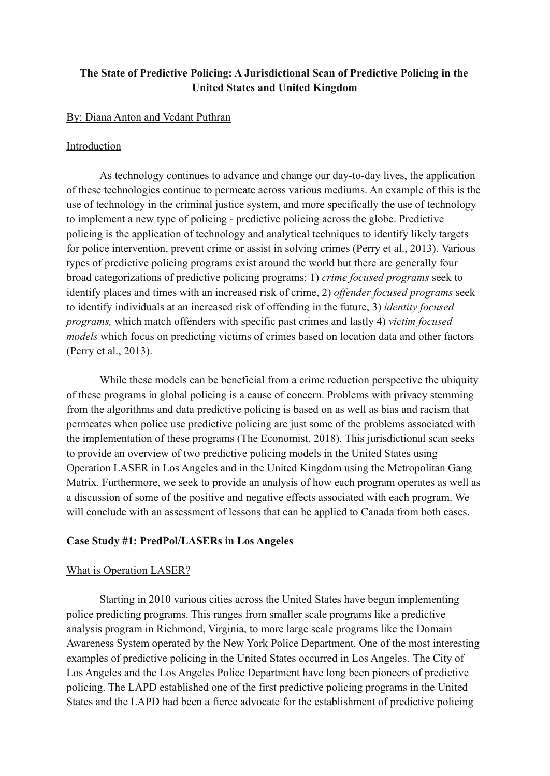# **The State of Predictive Policing: A Jurisdictional Scan of Predictive Policing in the United States and United Kingdom**

#### By: Diana Anton and Vedant Puthran

## Introduction

As technology continues to advance and change our day-to-day lives, the application of these technologies continue to permeate across various mediums. An example of this is the use of technology in the criminal justice system, and more specifically the use of technology to implement a new type of policing - predictive policing across the globe. Predictive policing is the application of technology and analytical techniques to identify likely targets for police intervention, prevent crime or assist in solving crimes (Perry et al., 2013). Various types of predictive policing programs exist around the world but there are generally four broad categorizations of predictive policing programs: 1) *crime focused programs* seek to identify places and times with an increased risk of crime, 2) *offender focused programs* seek to identify individuals at an increased risk of offending in the future, 3) *identity focused programs,* which match offenders with specific past crimes and lastly 4) *victim focused models* which focus on predicting victims of crimes based on location data and other factors (Perry et al., 2013).

While these models can be beneficial from a crime reduction perspective the ubiquity of these programs in global policing is a cause of concern. Problems with privacy stemming from the algorithms and data predictive policing is based on as well as bias and racism that permeates when police use predictive policing are just some of the problems associated with the implementation of these programs (The Economist, 2018). This jurisdictional scan seeks to provide an overview of two predictive policing models in the United States using Operation LASER in Los Angeles and in the United Kingdom using the Metropolitan Gang Matrix. Furthermore, we seek to provide an analysis of how each program operates as well as a discussion of some of the positive and negative effects associated with each program. We will conclude with an assessment of lessons that can be applied to Canada from both cases.

## **Case Study #1: PredPol/LASERs in Los Angeles**

#### What is Operation LASER?

Starting in 2010 various cities across the United States have begun implementing police predicting programs. This ranges from smaller scale programs like a predictive analysis program in Richmond, Virginia, to more large scale programs like the Domain Awareness System operated by the New York Police Department. One of the most interesting examples of predictive policing in the United States occurred in Los Angeles. The City of Los Angeles and the Los Angeles Police Department have long been pioneers of predictive policing. The LAPD established one of the first predictive policing programs in the United States and the LAPD had been a fierce advocate for the establishment of predictive policing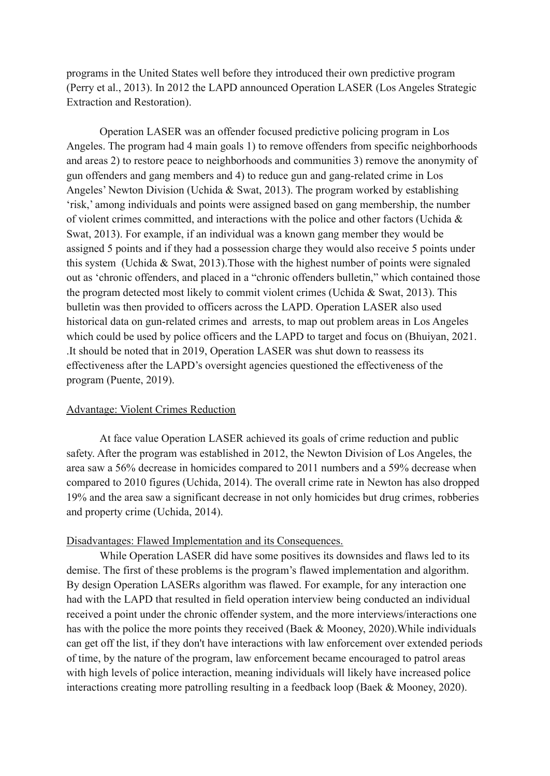programs in the United States well before they introduced their own predictive program (Perry et al., 2013). In 2012 the LAPD announced Operation LASER (Los Angeles Strategic Extraction and Restoration).

Operation LASER was an offender focused predictive policing program in Los Angeles. The program had 4 main goals 1) to remove offenders from specific neighborhoods and areas 2) to restore peace to neighborhoods and communities 3) remove the anonymity of gun offenders and gang members and 4) to reduce gun and gang-related crime in Los Angeles' Newton Division (Uchida & Swat, 2013). The program worked by establishing 'risk,' among individuals and points were assigned based on gang membership, the number of violent crimes committed, and interactions with the police and other factors (Uchida & Swat, 2013). For example, if an individual was a known gang member they would be assigned 5 points and if they had a possession charge they would also receive 5 points under this system (Uchida  $& Swat, 2013$ ). Those with the highest number of points were signaled out as 'chronic offenders, and placed in a "chronic offenders bulletin," which contained those the program detected most likely to commit violent crimes (Uchida  $\&$  Swat, 2013). This bulletin was then provided to officers across the LAPD. Operation LASER also used historical data on gun-related crimes and arrests, to map out problem areas in Los Angeles which could be used by police officers and the LAPD to target and focus on (Bhuiyan, 2021. .It should be noted that in 2019, Operation LASER was shut down to reassess its effectiveness after the LAPD's oversight agencies questioned the effectiveness of the program (Puente, 2019).

## Advantage: Violent Crimes Reduction

At face value Operation LASER achieved its goals of crime reduction and public safety. After the program was established in 2012, the Newton Division of Los Angeles, the area saw a 56% decrease in homicides compared to 2011 numbers and a 59% decrease when compared to 2010 figures (Uchida, 2014). The overall crime rate in Newton has also dropped 19% and the area saw a significant decrease in not only homicides but drug crimes, robberies and property crime (Uchida, 2014).

#### Disadvantages: Flawed Implementation and its Consequences.

While Operation LASER did have some positives its downsides and flaws led to its demise. The first of these problems is the program's flawed implementation and algorithm. By design Operation LASERs algorithm was flawed. For example, for any interaction one had with the LAPD that resulted in field operation interview being conducted an individual received a point under the chronic offender system, and the more interviews/interactions one has with the police the more points they received (Baek & Mooney, 2020).While individuals can get off the list, if they don't have interactions with law enforcement over extended periods of time, by the nature of the program, law enforcement became encouraged to patrol areas with high levels of police interaction, meaning individuals will likely have increased police interactions creating more patrolling resulting in a feedback loop (Baek & Mooney, 2020).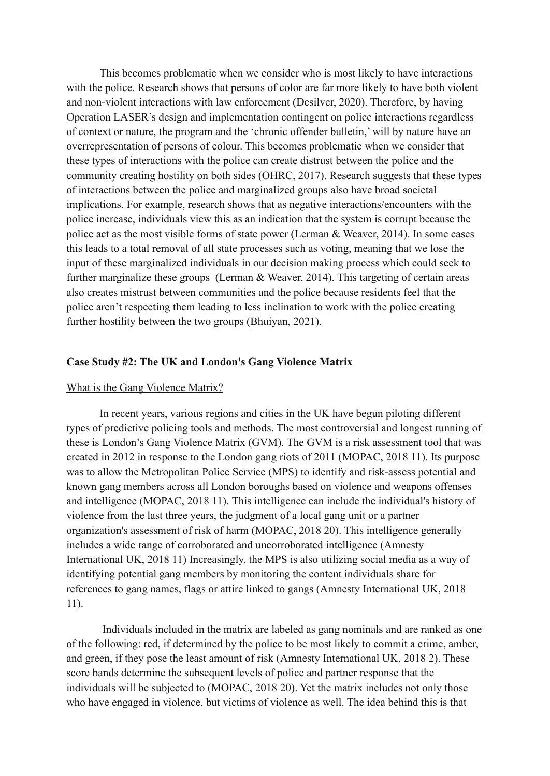This becomes problematic when we consider who is most likely to have interactions with the police. Research shows that persons of color are far more likely to have both violent and non-violent interactions with law enforcement (Desilver, 2020). Therefore, by having Operation LASER's design and implementation contingent on police interactions regardless of context or nature, the program and the 'chronic offender bulletin,' will by nature have an overrepresentation of persons of colour. This becomes problematic when we consider that these types of interactions with the police can create distrust between the police and the community creating hostility on both sides (OHRC, 2017). Research suggests that these types of interactions between the police and marginalized groups also have broad societal implications. For example, research shows that as negative interactions/encounters with the police increase, individuals view this as an indication that the system is corrupt because the police act as the most visible forms of state power (Lerman & Weaver, 2014). In some cases this leads to a total removal of all state processes such as voting, meaning that we lose the input of these marginalized individuals in our decision making process which could seek to further marginalize these groups (Lerman & Weaver, 2014). This targeting of certain areas also creates mistrust between communities and the police because residents feel that the police aren't respecting them leading to less inclination to work with the police creating further hostility between the two groups (Bhuiyan, 2021).

### **Case Study #2: The UK and London's Gang Violence Matrix**

#### What is the Gang Violence Matrix?

In recent years, various regions and cities in the UK have begun piloting different types of predictive policing tools and methods. The most controversial and longest running of these is London's Gang Violence Matrix (GVM). The GVM is a risk assessment tool that was created in 2012 in response to the London gang riots of 2011 (MOPAC, 2018 11). Its purpose was to allow the Metropolitan Police Service (MPS) to identify and risk-assess potential and known gang members across all London boroughs based on violence and weapons offenses and intelligence (MOPAC, 2018 11). This intelligence can include the individual's history of violence from the last three years, the judgment of a local gang unit or a partner organization's assessment of risk of harm (MOPAC, 2018 20). This intelligence generally includes a wide range of corroborated and uncorroborated intelligence (Amnesty International UK, 2018 11) Increasingly, the MPS is also utilizing social media as a way of identifying potential gang members by monitoring the content individuals share for references to gang names, flags or attire linked to gangs (Amnesty International UK, 2018 11).

Individuals included in the matrix are labeled as gang nominals and are ranked as one of the following: red, if determined by the police to be most likely to commit a crime, amber, and green, if they pose the least amount of risk (Amnesty International UK, 2018 2). These score bands determine the subsequent levels of police and partner response that the individuals will be subjected to (MOPAC, 2018 20). Yet the matrix includes not only those who have engaged in violence, but victims of violence as well. The idea behind this is that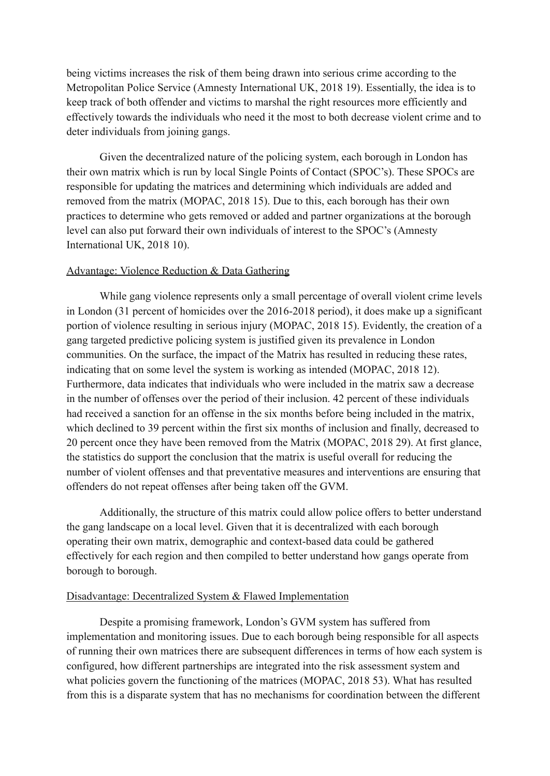being victims increases the risk of them being drawn into serious crime according to the Metropolitan Police Service (Amnesty International UK, 2018 19). Essentially, the idea is to keep track of both offender and victims to marshal the right resources more efficiently and effectively towards the individuals who need it the most to both decrease violent crime and to deter individuals from joining gangs.

Given the decentralized nature of the policing system, each borough in London has their own matrix which is run by local Single Points of Contact (SPOC's). These SPOCs are responsible for updating the matrices and determining which individuals are added and removed from the matrix (MOPAC, 2018 15). Due to this, each borough has their own practices to determine who gets removed or added and partner organizations at the borough level can also put forward their own individuals of interest to the SPOC's (Amnesty International UK, 2018 10).

## Advantage: Violence Reduction & Data Gathering

While gang violence represents only a small percentage of overall violent crime levels in London (31 percent of homicides over the 2016-2018 period), it does make up a significant portion of violence resulting in serious injury (MOPAC, 2018 15). Evidently, the creation of a gang targeted predictive policing system is justified given its prevalence in London communities. On the surface, the impact of the Matrix has resulted in reducing these rates, indicating that on some level the system is working as intended (MOPAC, 2018 12). Furthermore, data indicates that individuals who were included in the matrix saw a decrease in the number of offenses over the period of their inclusion. 42 percent of these individuals had received a sanction for an offense in the six months before being included in the matrix, which declined to 39 percent within the first six months of inclusion and finally, decreased to 20 percent once they have been removed from the Matrix (MOPAC, 2018 29). At first glance, the statistics do support the conclusion that the matrix is useful overall for reducing the number of violent offenses and that preventative measures and interventions are ensuring that offenders do not repeat offenses after being taken off the GVM.

Additionally, the structure of this matrix could allow police offers to better understand the gang landscape on a local level. Given that it is decentralized with each borough operating their own matrix, demographic and context-based data could be gathered effectively for each region and then compiled to better understand how gangs operate from borough to borough.

### Disadvantage: Decentralized System & Flawed Implementation

Despite a promising framework, London's GVM system has suffered from implementation and monitoring issues. Due to each borough being responsible for all aspects of running their own matrices there are subsequent differences in terms of how each system is configured, how different partnerships are integrated into the risk assessment system and what policies govern the functioning of the matrices (MOPAC, 2018 53). What has resulted from this is a disparate system that has no mechanisms for coordination between the different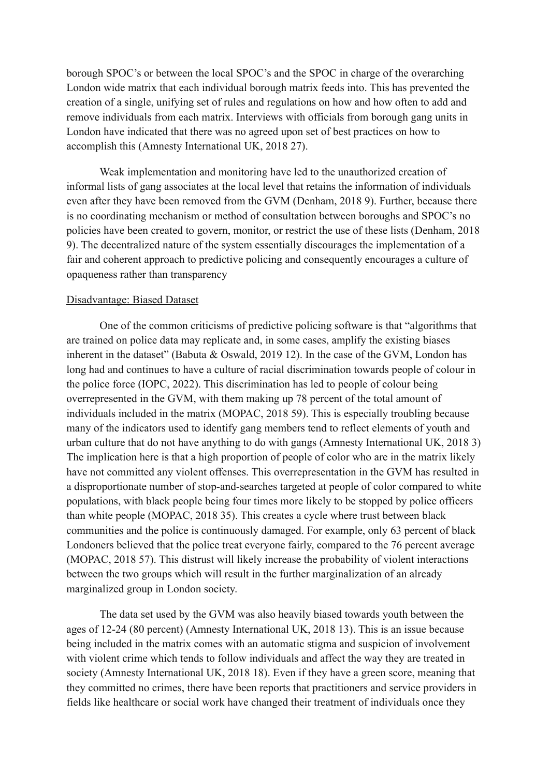borough SPOC's or between the local SPOC's and the SPOC in charge of the overarching London wide matrix that each individual borough matrix feeds into. This has prevented the creation of a single, unifying set of rules and regulations on how and how often to add and remove individuals from each matrix. Interviews with officials from borough gang units in London have indicated that there was no agreed upon set of best practices on how to accomplish this (Amnesty International UK, 2018 27).

Weak implementation and monitoring have led to the unauthorized creation of informal lists of gang associates at the local level that retains the information of individuals even after they have been removed from the GVM (Denham, 2018 9). Further, because there is no coordinating mechanism or method of consultation between boroughs and SPOC's no policies have been created to govern, monitor, or restrict the use of these lists (Denham, 2018 9). The decentralized nature of the system essentially discourages the implementation of a fair and coherent approach to predictive policing and consequently encourages a culture of opaqueness rather than transparency

### Disadvantage: Biased Dataset

One of the common criticisms of predictive policing software is that "algorithms that are trained on police data may replicate and, in some cases, amplify the existing biases inherent in the dataset" (Babuta & Oswald, 2019 12). In the case of the GVM, London has long had and continues to have a culture of racial discrimination towards people of colour in the police force (IOPC, 2022). This discrimination has led to people of colour being overrepresented in the GVM, with them making up 78 percent of the total amount of individuals included in the matrix (MOPAC, 2018 59). This is especially troubling because many of the indicators used to identify gang members tend to reflect elements of youth and urban culture that do not have anything to do with gangs (Amnesty International UK, 2018 3) The implication here is that a high proportion of people of color who are in the matrix likely have not committed any violent offenses. This overrepresentation in the GVM has resulted in a disproportionate number of stop-and-searches targeted at people of color compared to white populations, with black people being four times more likely to be stopped by police officers than white people (MOPAC, 2018 35). This creates a cycle where trust between black communities and the police is continuously damaged. For example, only 63 percent of black Londoners believed that the police treat everyone fairly, compared to the 76 percent average (MOPAC, 2018 57). This distrust will likely increase the probability of violent interactions between the two groups which will result in the further marginalization of an already marginalized group in London society.

The data set used by the GVM was also heavily biased towards youth between the ages of 12-24 (80 percent) (Amnesty International UK, 2018 13). This is an issue because being included in the matrix comes with an automatic stigma and suspicion of involvement with violent crime which tends to follow individuals and affect the way they are treated in society (Amnesty International UK, 2018 18). Even if they have a green score, meaning that they committed no crimes, there have been reports that practitioners and service providers in fields like healthcare or social work have changed their treatment of individuals once they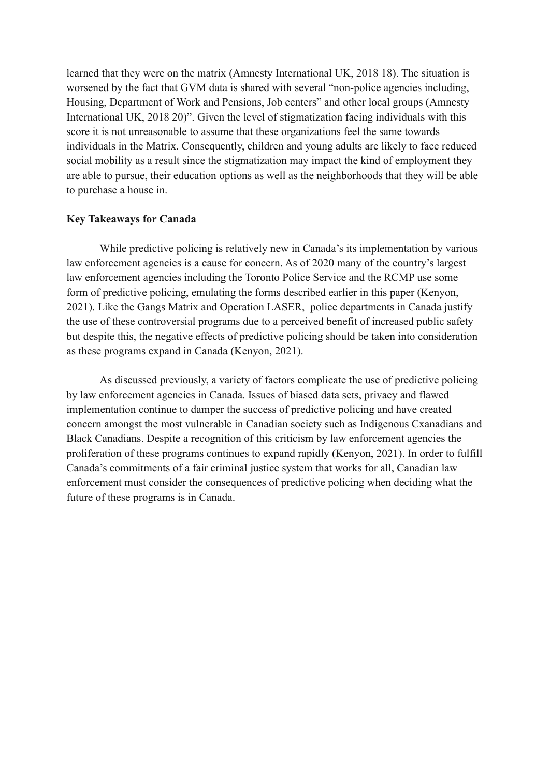learned that they were on the matrix (Amnesty International UK, 2018 18). The situation is worsened by the fact that GVM data is shared with several "non-police agencies including, Housing, Department of Work and Pensions, Job centers" and other local groups (Amnesty International UK, 2018 20)". Given the level of stigmatization facing individuals with this score it is not unreasonable to assume that these organizations feel the same towards individuals in the Matrix. Consequently, children and young adults are likely to face reduced social mobility as a result since the stigmatization may impact the kind of employment they are able to pursue, their education options as well as the neighborhoods that they will be able to purchase a house in.

## **Key Takeaways for Canada**

While predictive policing is relatively new in Canada's its implementation by various law enforcement agencies is a cause for concern. As of 2020 many of the country's largest law enforcement agencies including the Toronto Police Service and the RCMP use some form of predictive policing, emulating the forms described earlier in this paper (Kenyon, 2021). Like the Gangs Matrix and Operation LASER, police departments in Canada justify the use of these controversial programs due to a perceived benefit of increased public safety but despite this, the negative effects of predictive policing should be taken into consideration as these programs expand in Canada (Kenyon, 2021).

As discussed previously, a variety of factors complicate the use of predictive policing by law enforcement agencies in Canada. Issues of biased data sets, privacy and flawed implementation continue to damper the success of predictive policing and have created concern amongst the most vulnerable in Canadian society such as Indigenous Cxanadians and Black Canadians. Despite a recognition of this criticism by law enforcement agencies the proliferation of these programs continues to expand rapidly (Kenyon, 2021). In order to fulfill Canada's commitments of a fair criminal justice system that works for all, Canadian law enforcement must consider the consequences of predictive policing when deciding what the future of these programs is in Canada.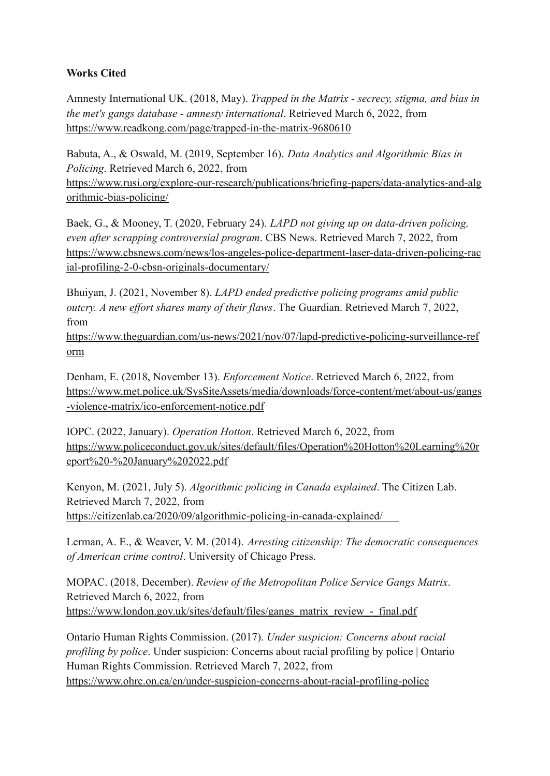# **Works Cited**

Amnesty International UK. (2018, May). *Trapped in the Matrix - secrecy, stigma, and bias in the met's gangs database - amnesty international*. Retrieved March 6, 2022, from <https://www.readkong.com/page/trapped-in-the-matrix-9680610>

Babuta, A., & Oswald, M. (2019, September 16). *Data Analytics and Algorithmic Bias in Policing*. Retrieved March 6, 2022, from [https://www.rusi.org/explore-our-research/publications/briefing-papers/data-analytics-and-alg](https://www.rusi.org/explore-our-research/publications/briefing-papers/data-analytics-and-algorithmic-bias-policing/) [orithmic-bias-policing/](https://www.rusi.org/explore-our-research/publications/briefing-papers/data-analytics-and-algorithmic-bias-policing/)

Baek, G., & Mooney, T. (2020, February 24). *LAPD not giving up on data-driven policing, even after scrapping controversial program*. CBS News. Retrieved March 7, 2022, from https://www.cbsnews.com/news/los-angeles-police-department-laser-data-driven-policing-rac ial-profiling-2-0-cbsn-originals-documentary/

Bhuiyan, J. (2021, November 8). *LAPD ended predictive policing programs amid public outcry. A new effort shares many of their flaws*. The Guardian. Retrieved March 7, 2022, from

https://www.theguardian.com/us-news/2021/nov/07/lapd-predictive-policing-surveillance-ref orm

Denham, E. (2018, November 13). *Enforcement Notice*. Retrieved March 6, 2022, from [https://www.met.police.uk/SysSiteAssets/media/downloads/force-content/met/about-us/gangs](https://www.met.police.uk/SysSiteAssets/media/downloads/force-content/met/about-us/gangs-violence-matrix/ico-enforcement-notice.pdf) [-violence-matrix/ico-enforcement-notice.pdf](https://www.met.police.uk/SysSiteAssets/media/downloads/force-content/met/about-us/gangs-violence-matrix/ico-enforcement-notice.pdf)

IOPC. (2022, January). *Operation Hotton*. Retrieved March 6, 2022, from [https://www.policeconduct.gov.uk/sites/default/files/Operation%20Hotton%20Learning%20r](https://www.policeconduct.gov.uk/sites/default/files/Operation%20Hotton%20Learning%20report%20-%20January%202022.pdf) [eport%20-%20January%202022.pdf](https://www.policeconduct.gov.uk/sites/default/files/Operation%20Hotton%20Learning%20report%20-%20January%202022.pdf)

Kenyon, M. (2021, July 5). *Algorithmic policing in Canada explained*. The Citizen Lab. Retrieved March 7, 2022, from https://citizenlab.ca/2020/09/algorithmic-policing-in-canada-explained/

Lerman, A. E., & Weaver, V. M. (2014). *Arresting citizenship: The democratic consequences of American crime control*. University of Chicago Press.

MOPAC. (2018, December). *Review of the Metropolitan Police Service Gangs Matrix*. Retrieved March 6, 2022, from [https://www.london.gov.uk/sites/default/files/gangs\\_matrix\\_review\\_-\\_final.pdf](https://www.london.gov.uk/sites/default/files/gangs_matrix_review_-_final.pdf)

Ontario Human Rights Commission. (2017). *Under suspicion: Concerns about racial profiling by police*. Under suspicion: Concerns about racial profiling by police | Ontario Human Rights Commission. Retrieved March 7, 2022, from https://www.ohrc.on.ca/en/under-suspicion-concerns-about-racial-profiling-police